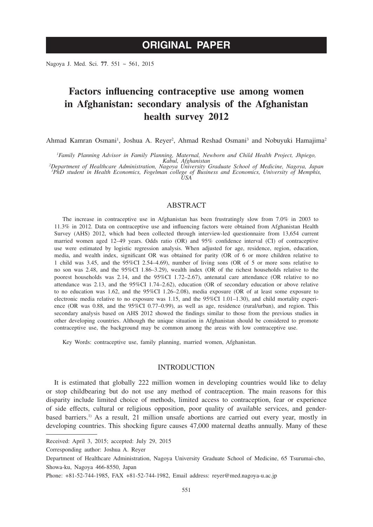# **ORIGINAL PAPER**

Nagoya J. Med. Sci. **77**. 551 ~ 561, 2015

# **Factors influencing contraceptive use among women in Afghanistan: secondary analysis of the Afghanistan health survey 2012**

Ahmad Kamran Osmani<sup>1</sup>, Joshua A. Reyer<sup>2</sup>, Ahmad Reshad Osmani<sup>3</sup> and Nobuyuki Hamajima<sup>2</sup>

*1 Family Planning Advisor in Family Planning, Maternal, Newborn and Child Health Project, Jhpiego, Kabul, Afghanistan <sup>2</sup> Department of Healthcare Administration, Nagoya University Graduate School of Medicine, Nagoya, Japan*

*3 PhD student in Health Economics, Fogelman college of Business and Economics, University of Memphis, USA*

ABSTRACT

The increase in contraceptive use in Afghanistan has been frustratingly slow from 7.0% in 2003 to 11.3% in 2012. Data on contraceptive use and influencing factors were obtained from Afghanistan Health Survey (AHS) 2012, which had been collected through interview-led questionnaire from 13,654 current married women aged 12–49 years. Odds ratio (OR) and 95% confidence interval (CI) of contraceptive use were estimated by logistic regression analysis. When adjusted for age, residence, region, education, media, and wealth index, significant OR was obtained for parity (OR of 6 or more children relative to 1 child was 3.45, and the 95%CI 2.54–4.69), number of living sons (OR of 5 or more sons relative to no son was 2.48, and the 95%CI 1.86–3.29), wealth index (OR of the richest households relative to the poorest households was 2.14, and the 95%CI 1.72–2.67), antenatal care attendance (OR relative to no attendance was 2.13, and the 95%CI 1.74–2.62), education (OR of secondary education or above relative to no education was 1.62, and the 95%CI 1.26–2.08), media exposure (OR of at least some exposure to electronic media relative to no exposure was 1.15, and the 95%CI 1.01–1.30), and child mortality experience (OR was 0.88, and the 95%CI 0.77–0.99), as well as age, residence (rural/urban), and region. This secondary analysis based on AHS 2012 showed the findings similar to those from the previous studies in other developing countries. Although the unique situation in Afghanistan should be considered to promote contraceptive use, the background may be common among the areas with low contraceptive use.

Key Words: contraceptive use, family planning, married women, Afghanistan.

## INTRODUCTION

It is estimated that globally 222 million women in developing countries would like to delay or stop childbearing but do not use any method of contraception. The main reasons for this disparity include limited choice of methods, limited access to contraception, fear or experience of side effects, cultural or religious opposition, poor quality of available services, and genderbased barriers.<sup>1)</sup> As a result, 21 million unsafe abortions are carried out every year, mostly in developing countries. This shocking figure causes 47,000 maternal deaths annually. Many of these

Received: April 3, 2015; accepted: July 29, 2015

Corresponding author: Joshua A. Reyer

Department of Healthcare Administration, Nagoya University Graduate School of Medicine, 65 Tsurumai-cho, Showa-ku, Nagoya 466-8550, Japan

Phone: +81-52-744-1985, FAX +81-52-744-1982, Email address: reyer@med.nagoya-u.ac.jp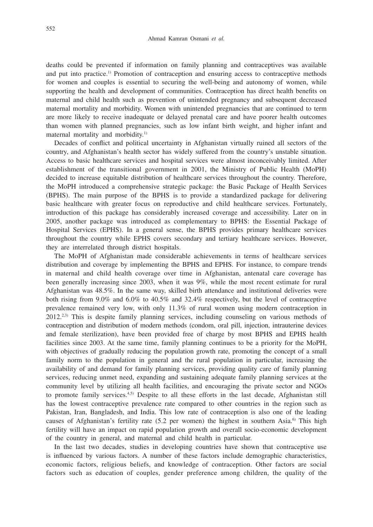deaths could be prevented if information on family planning and contraceptives was available and put into practice.1) Promotion of contraception and ensuring access to contraceptive methods for women and couples is essential to securing the well-being and autonomy of women, while supporting the health and development of communities. Contraception has direct health benefits on maternal and child health such as prevention of unintended pregnancy and subsequent decreased maternal mortality and morbidity. Women with unintended pregnancies that are continued to term are more likely to receive inadequate or delayed prenatal care and have poorer health outcomes than women with planned pregnancies, such as low infant birth weight, and higher infant and maternal mortality and morbidity.<sup>1)</sup>

Decades of conflict and political uncertainty in Afghanistan virtually ruined all sectors of the country, and Afghanistan's health sector has widely suffered from the country's unstable situation. Access to basic healthcare services and hospital services were almost inconceivably limited. After establishment of the transitional government in 2001, the Ministry of Public Health (MoPH) decided to increase equitable distribution of healthcare services throughout the country. Therefore, the MoPH introduced a comprehensive strategic package: the Basic Package of Health Services (BPHS). The main purpose of the BPHS is to provide a standardized package for delivering basic healthcare with greater focus on reproductive and child healthcare services. Fortunately, introduction of this package has considerably increased coverage and accessibility. Later on in 2005, another package was introduced as complementary to BPHS: the Essential Package of Hospital Services (EPHS). In a general sense, the BPHS provides primary healthcare services throughout the country while EPHS covers secondary and tertiary healthcare services. However, they are interrelated through district hospitals.

The MoPH of Afghanistan made considerable achievements in terms of healthcare services distribution and coverage by implementing the BPHS and EPHS. For instance, to compare trends in maternal and child health coverage over time in Afghanistan, antenatal care coverage has been generally increasing since 2003, when it was 9%, while the most recent estimate for rural Afghanistan was 48.5%. In the same way, skilled birth attendance and institutional deliveries were both rising from 9.0% and 6.0% to 40.5% and 32.4% respectively, but the level of contraceptive prevalence remained very low, with only 11.3% of rural women using modern contraception in 2012.2,3) This is despite family planning services, including counseling on various methods of contraception and distribution of modern methods (condom, oral pill, injection, intrauterine devices and female sterilization), have been provided free of charge by most BPHS and EPHS health facilities since 2003. At the same time, family planning continues to be a priority for the MoPH, with objectives of gradually reducing the population growth rate, promoting the concept of a small family norm to the population in general and the rural population in particular, increasing the availability of and demand for family planning services, providing quality care of family planning services, reducing unmet need, expanding and sustaining adequate family planning services at the community level by utilizing all health facilities, and encouraging the private sector and NGOs to promote family services.4,5) Despite to all these efforts in the last decade, Afghanistan still has the lowest contraceptive prevalence rate compared to other countries in the region such as Pakistan, Iran, Bangladesh, and India. This low rate of contraception is also one of the leading causes of Afghanistan's fertility rate (5.2 per women) the highest in southern Asia.<sup>6</sup> This high fertility will have an impact on rapid population growth and overall socio-economic development of the country in general, and maternal and child health in particular.

In the last two decades, studies in developing countries have shown that contraceptive use is influenced by various factors. A number of these factors include demographic characteristics, economic factors, religious beliefs, and knowledge of contraception. Other factors are social factors such as education of couples, gender preference among children, the quality of the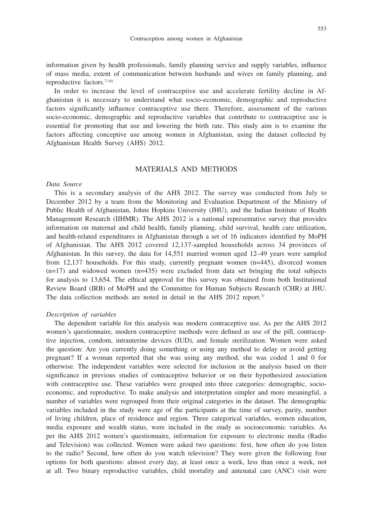553

information given by health professionals, family planning service and supply variables, influence of mass media, extent of communication between husbands and wives on family planning, and reproductive factors.7-16)

In order to increase the level of contraceptive use and accelerate fertility decline in Afghanistan it is necessary to understand what socio-economic, demographic and reproductive factors significantly influence contraceptive use there. Therefore, assessment of the various socio-economic, demographic and reproductive variables that contribute to contraceptive use is essential for promoting that use and lowering the birth rate. This study aim is to examine the factors affecting conceptive use among women in Afghanistan, using the dataset collected by Afghanistan Health Survey (AHS) 2012.

# MATERIALS AND METHODS

#### *Data Source*

This is a secondary analysis of the AHS 2012. The survey was conducted from July to December 2012 by a team from the Monitoring and Evaluation Department of the Ministry of Public Health of Afghanistan, Johns Hopkins University (JHU), and the Indian Institute of Health Management Research (IIHMR). The AHS 2012 is a national representative survey that provides information on maternal and child health, family planning, child survival, health care utilization, and health-related expenditures in Afghanistan through a set of 16 indicators identified by MoPH of Afghanistan. The AHS 2012 covered 12,137-sampled households across 34 provinces of Afghanistan. In this survey, the data for 14,551 married women aged 12–49 years were sampled from 12,137 households. For this study, currently pregnant women (n=445), divorced women  $(n=17)$  and widowed women  $(n=435)$  were excluded from data set bringing the total subjects for analysis to 13,654. The ethical approval for this survey was obtained from both Institutional Review Board (IRB) of MoPH and the Committee for Human Subjects Research (CHR) at JHU. The data collection methods are noted in detail in the AHS 2012 report.<sup>3)</sup>

### *Description of variables*

The dependent variable for this analysis was modern contraceptive use. As per the AHS 2012 women's questionnaire, modern contraceptive methods were defined as use of the pill, contraceptive injection, condom, intrauterine devices (IUD), and female sterilization. Women were asked the question: Are you currently doing something or using any method to delay or avoid getting pregnant? If a woman reported that she was using any method, she was coded 1 and 0 for otherwise. The independent variables were selected for inclusion in the analysis based on their significance in previous studies of contraceptive behavior or on their hypothesized association with contraceptive use. These variables were grouped into three categories: demographic, socioeconomic, and reproductive. To make analysis and interpretation simpler and more meaningful, a number of variables were regrouped from their original categories in the dataset. The demographic variables included in the study were age of the participants at the time of survey, parity, number of living children, place of residence and region. Three categorical variables, women education, media exposure and wealth status, were included in the study as socioeconomic variables. As per the AHS 2012 women's questionnaire, information for exposure to electronic media (Radio and Television) was collected. Women were asked two questions: first, how often do you listen to the radio? Second, how often do you watch television? They were given the following four options for both questions: almost every day, at least once a week, less than once a week, not at all. Two binary reproductive variables, child mortality and antenatal care (ANC) visit were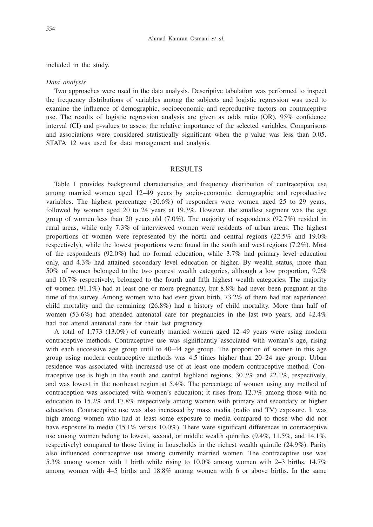included in the study.

#### *Data analysis*

Two approaches were used in the data analysis. Descriptive tabulation was performed to inspect the frequency distributions of variables among the subjects and logistic regression was used to examine the influence of demographic, socioeconomic and reproductive factors on contraceptive use. The results of logistic regression analysis are given as odds ratio (OR), 95% confidence interval (CI) and p-values to assess the relative importance of the selected variables. Comparisons and associations were considered statistically significant when the p-value was less than 0.05. STATA 12 was used for data management and analysis.

# RESULTS

Table 1 provides background characteristics and frequency distribution of contraceptive use among married women aged 12–49 years by socio-economic, demographic and reproductive variables. The highest percentage (20.6%) of responders were women aged 25 to 29 years, followed by women aged 20 to 24 years at 19.3%. However, the smallest segment was the age group of women less than 20 years old  $(7.0\%)$ . The majority of respondents  $(92.7\%)$  resided in rural areas, while only 7.3% of interviewed women were residents of urban areas. The highest proportions of women were represented by the north and central regions (22.5% and 19.0% respectively), while the lowest proportions were found in the south and west regions (7.2%). Most of the respondents (92.0%) had no formal education, while 3.7% had primary level education only, and 4.3% had attained secondary level education or higher. By wealth status, more than 50% of women belonged to the two poorest wealth categories, although a low proportion, 9.2% and 10.7% respectively, belonged to the fourth and fifth highest wealth categories. The majority of women (91.1%) had at least one or more pregnancy, but 8.8% had never been pregnant at the time of the survey. Among women who had ever given birth, 73.2% of them had not experienced child mortality and the remaining (26.8%) had a history of child mortality. More than half of women (53.6%) had attended antenatal care for pregnancies in the last two years, and 42.4% had not attend antenatal care for their last pregnancy.

A total of 1,773 (13.0%) of currently married women aged 12–49 years were using modern contraceptive methods. Contraceptive use was significantly associated with woman's age, rising with each successive age group until to 40–44 age group. The proportion of women in this age group using modern contraceptive methods was 4.5 times higher than 20–24 age group. Urban residence was associated with increased use of at least one modern contraceptive method. Contraceptive use is high in the south and central highland regions, 30.3% and 22.1%, respectively, and was lowest in the northeast region at 5.4%. The percentage of women using any method of contraception was associated with women's education; it rises from 12.7% among those with no education to 15.2% and 17.8% respectively among women with primary and secondary or higher education. Contraceptive use was also increased by mass media (radio and TV) exposure. It was high among women who had at least some exposure to media compared to those who did not have exposure to media (15.1% versus 10.0%). There were significant differences in contraceptive use among women belong to lowest, second, or middle wealth quintiles (9.4%, 11.5%, and 14.1%, respectively) compared to those living in households in the richest wealth quintile (24.9%). Parity also influenced contraceptive use among currently married women. The contraceptive use was 5.3% among women with 1 birth while rising to 10.0% among women with 2–3 births, 14.7% among women with 4–5 births and 18.8% among women with 6 or above births. In the same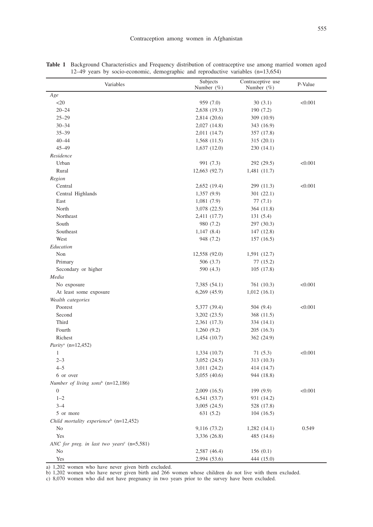| Variables                                                | Subjects<br>Number $(\%)$ | Contraceptive use<br>Number $(\%)$ | P-Value |
|----------------------------------------------------------|---------------------------|------------------------------------|---------|
| Age                                                      |                           |                                    |         |
| $20$                                                     | 959 (7.0)                 | 30(3.1)                            | < 0.001 |
| $20 - 24$                                                | 2,638 (19.3)              | 190 (7.2)                          |         |
| $25 - 29$                                                | 2,814 (20.6)              | 309 (10.9)                         |         |
| $30 - 34$                                                | 2,027 (14.8)              | 343 (16.9)                         |         |
| $35 - 39$                                                | 2,011 (14.7)              | 357 (17.8)                         |         |
| $40 - 44$                                                | 1,568(11.5)               | 315 (20.1)                         |         |
| $45 - 49$                                                | 1,637(12.0)               | 230 (14.1)                         |         |
| Residence                                                |                           |                                    |         |
| Urban                                                    | 991 (7.3)                 | 292 (29.5)                         | < 0.001 |
| Rural                                                    | 12,663 (92.7)             | 1,481 (11.7)                       |         |
| Region                                                   |                           |                                    |         |
| Central                                                  | 2,652 (19.4)              | 299 (11.3)                         | < 0.001 |
| Central Highlands                                        | 1,357(9.9)                | 301 (22.1)                         |         |
| East                                                     | 1,081(7.9)                | 77 (7.1)                           |         |
| North                                                    | 3,078 (22.5)              | 364 (11.8)                         |         |
| Northeast                                                | 2,411 (17.7)              | 131 (5.4)                          |         |
| South                                                    | 980 (7.2)                 | 297 (30.3)                         |         |
| Southeast                                                | 1,147(8.4)                | 147 (12.8)                         |         |
| West                                                     | 948 (7.2)                 | 157(16.5)                          |         |
| Education                                                |                           |                                    |         |
| Non                                                      | 12,558 (92.0)             | 1,591 (12.7)                       |         |
| Primary                                                  | 506 (3.7)                 | 77 (15.2)                          |         |
| Secondary or higher                                      | 590 (4.3)                 | 105(17.8)                          |         |
| Media                                                    |                           |                                    |         |
| No exposure                                              | 7,385 (54.1)              | 761 (10.3)                         | < 0.001 |
| At least some exposure                                   | $6,269$ $(45.9)$          | 1,012(16.1)                        |         |
| Wealth categories                                        |                           |                                    |         |
| Poorest                                                  | 5,377 (39.4)              | 504 (9.4)                          | < 0.001 |
| Second                                                   | 3,202 (23.5)              | 368 (11.5)                         |         |
| Third                                                    | 2,361 (17.3)              | 334 (14.1)                         |         |
| Fourth                                                   | 1,260(9.2)                | 205 (16.3)                         |         |
| Richest                                                  | 1,454(10.7)               | 362 (24.9)                         |         |
| <i>Parity<sup>a</sup></i> ( $n=12,452$ )                 |                           |                                    |         |
| 1                                                        | 1,334(10.7)               | 71 (5.3)                           | < 0.001 |
| $2 - 3$                                                  | 3,052(24.5)               | 313 (10.3)                         |         |
| $4 - 5$                                                  | 3,011 (24.2)              | 414 (14.7)                         |         |
| 6 or over                                                | 5,055(40.6)               | 944 (18.8)                         |         |
| Number of living sons <sup>b</sup> $(n=12,186)$          |                           |                                    |         |
| 0                                                        | $2,009$ (16.5)            | 199 (9.9)                          | < 0.001 |
| $1 - 2$                                                  | 6,541(53.7)               | 931 (14.2)                         |         |
| $3 - 4$                                                  | 3,005(24.5)               | 528 (17.8)                         |         |
| 5 or more                                                | 631 (5.2)                 | 104(16.5)                          |         |
| Child mortality experience <sup>b</sup> (n=12,452)       |                           |                                    |         |
| No                                                       | 9,116 (73.2)              | 1,282(14.1)                        | 0.549   |
| Yes                                                      | 3,336 (26.8)              | 485 (14.6)                         |         |
| ANC for preg. in last two years <sup>c</sup> $(n=5,581)$ |                           |                                    |         |
| No                                                       | 2,587 (46.4)              | 156(0.1)                           |         |
| Yes                                                      | 2,994 (53.6)              | 444 (15.0)                         |         |

**Table 1** Background Characteristics and Frequency distribution of contraceptive use among married women aged 12–49 years by socio-economic, demographic and reproductive variables (n=13,654)

a) 1,202 women who have never given birth excluded.

b) 1,202 women who have never given birth and 266 women whose children do not live with them excluded.

c) 8,070 women who did not have pregnancy in two years prior to the survey have been excluded.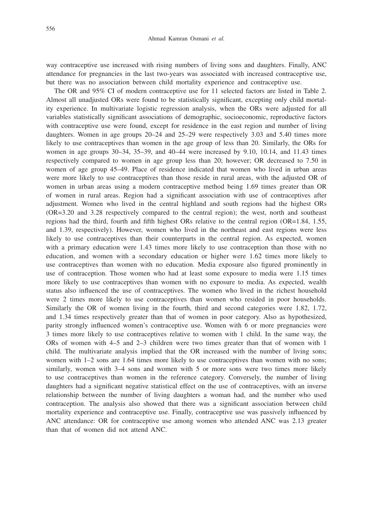way contraceptive use increased with rising numbers of living sons and daughters. Finally, ANC attendance for pregnancies in the last two-years was associated with increased contraceptive use, but there was no association between child mortality experience and contraceptive use.

The OR and 95% CI of modern contraceptive use for 11 selected factors are listed in Table 2. Almost all unadjusted ORs were found to be statistically significant, excepting only child mortality experience. In multivariate logistic regression analysis, when the ORs were adjusted for all variables statistically significant associations of demographic, socioeconomic, reproductive factors with contraceptive use were found, except for residence in the east region and number of living daughters. Women in age groups 20–24 and 25–29 were respectively 3.03 and 5.40 times more likely to use contraceptives than women in the age group of less than 20. Similarly, the ORs for women in age groups 30–34, 35–39, and 40–44 were increased by 9.10, 10.14, and 11.43 times respectively compared to women in age group less than 20; however; OR decreased to 7.50 in women of age group 45–49. Place of residence indicated that women who lived in urban areas were more likely to use contraceptives than those reside in rural areas, with the adjusted OR of women in urban areas using a modern contraceptive method being 1.69 times greater than OR of women in rural areas. Region had a significant association with use of contraceptives after adjustment. Women who lived in the central highland and south regions had the highest ORs (OR=3.20 and 3.28 respectively compared to the central region); the west, north and southeast regions had the third, fourth and fifth highest ORs relative to the central region (OR=1.84, 1.55, and 1.39, respectively). However, women who lived in the northeast and east regions were less likely to use contraceptives than their counterparts in the central region. As expected, women with a primary education were 1.43 times more likely to use contraception than those with no education, and women with a secondary education or higher were 1.62 times more likely to use contraceptives than women with no education. Media exposure also figured prominently in use of contraception. Those women who had at least some exposure to media were 1.15 times more likely to use contraceptives than women with no exposure to media. As expected, wealth status also influenced the use of contraceptives. The women who lived in the richest household were 2 times more likely to use contraceptives than women who resided in poor households. Similarly the OR of women living in the fourth, third and second categories were 1.82, 1.72, and 1.34 times respectively greater than that of women in poor category. Also as hypothesized, parity strongly influenced women's contraceptive use. Women with 6 or more pregnancies were 3 times more likely to use contraceptives relative to women with 1 child. In the same way, the ORs of women with 4–5 and 2–3 children were two times greater than that of women with 1 child. The multivariate analysis implied that the OR increased with the number of living sons; women with 1–2 sons are 1.64 times more likely to use contraceptives than women with no sons; similarly, women with 3–4 sons and women with 5 or more sons were two times more likely to use contraceptives than women in the reference category. Conversely, the number of living daughters had a significant negative statistical effect on the use of contraceptives, with an inverse relationship between the number of living daughters a woman had, and the number who used contraception. The analysis also showed that there was a significant association between child mortality experience and contraceptive use. Finally, contraceptive use was passively influenced by ANC attendance: OR for contraceptive use among women who attended ANC was 2.13 greater than that of women did not attend ANC.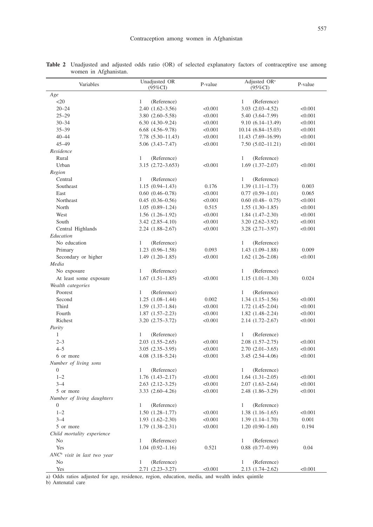| Variables                               | Unadjusted OR<br>$(95\%CI)$ | P-value | Adjusted OR <sup>a</sup><br>$(95\%CI)$ | P-value |
|-----------------------------------------|-----------------------------|---------|----------------------------------------|---------|
| Age                                     |                             |         |                                        |         |
| $20$                                    | 1<br>(Reference)            |         | 1<br>(Reference)                       |         |
| $20 - 24$                               | $2.40(1.62 - 3.56)$         | < 0.001 | $3.03(2.03-4.52)$                      | < 0.001 |
| $25 - 29$                               | $3.80(2.60 - 5.58)$         | < 0.001 | 5.40 (3.64-7.99)                       | < 0.001 |
| $30 - 34$                               | $6.30(4.30-9.24)$           | < 0.001 | $9.10(6.14 - 13.49)$                   | < 0.001 |
| $35 - 39$                               | $6.68$ $(4.56-9.78)$        | < 0.001 | $10.14(6.84 - 15.03)$                  | < 0.001 |
| $40 - 44$                               | $7.78(5.30-11.43)$          | < 0.001 | 11.43 (7.69-16.99)                     | < 0.001 |
| $45 - 49$                               | $5.06(3.43 - 7.47)$         | < 0.001 | $7.50(5.02 - 11.21)$                   | < 0.001 |
| Residence                               |                             |         |                                        |         |
| Rural                                   | 1<br>(Reference)            |         | (Reference)<br>1                       |         |
| Urban                                   | $3.15(2.72 - 3.653)$        | < 0.001 | $1.69(1.37-2.07)$                      | < 0.001 |
| Region                                  |                             |         |                                        |         |
| Central                                 | $\mathbf{1}$<br>(Reference) |         | 1<br>(Reference)                       |         |
| Southeast                               | $1.15(0.94 - 1.43)$         | 0.176   | $1.39(1.11 - 1.73)$                    | 0.003   |
| East                                    | $0.60(0.46 - 0.78)$         | < 0.001 | $0.77(0.59-1.01)$                      | 0.065   |
| Northeast                               | $0.45(0.36 - 0.56)$         | < 0.001 | $0.60$ $(0.48 - 0.75)$                 | < 0.001 |
| North                                   | $1.05(0.89-1.24)$           | 0.515   | $1.55(1.30-1.85)$                      | < 0.001 |
| West                                    | $1.56(1.26-1.92)$           | < 0.001 | $1.84(1.47-2.30)$                      | < 0.001 |
| South                                   | $3.42(2.85 - 4.10)$         | < 0.001 | $3.20(2.62 - 3.92)$                    | < 0.001 |
| Central Highlands                       | $2.24(1.88-2.67)$           | < 0.001 | $3.28$ $(2.71 - 3.97)$                 | < 0.001 |
| Education                               |                             |         |                                        |         |
| No education                            | 1<br>(Reference)            |         | (Reference)<br>1                       |         |
| Primary                                 | $1.23(0.96 - 1.58)$         | 0.093   | $1.43(1.09-1.88)$                      | 0.009   |
| Secondary or higher                     | $1.49(1.20-1.85)$           | < 0.001 | $1.62$ $(1.26 - 2.08)$                 | < 0.001 |
| Media                                   |                             |         |                                        |         |
| No exposure                             | (Reference)<br>1            |         | (Reference)<br>1                       |         |
| At least some exposure                  | $1.67(1.51-1.85)$           | < 0.001 | $1.15(1.01-1.30)$                      | 0.024   |
| Wealth categories                       |                             |         |                                        |         |
| Poorest                                 | 1<br>(Reference)            |         | 1<br>(Reference)                       |         |
| Second                                  | $1.25(1.08-1.44)$           | 0.002   | $1.34(1.15-1.56)$                      | < 0.001 |
| Third                                   | $1.59(1.37-1.84)$           | < 0.001 | $1.72(1.45-2.04)$                      | < 0.001 |
| Fourth                                  | $1.87(1.57-2.23)$           | < 0.001 | $1.82(1.48-2.24)$                      | < 0.001 |
| Richest                                 | $3.20(2.75 - 3.72)$         | < 0.001 | $2.14(1.72 - 2.67)$                    | < 0.001 |
| Parity<br>$\mathbf{1}$                  | 1<br>(Reference)            |         | 1<br>(Reference)                       |         |
| $2 - 3$                                 | $2.03(1.55-2.65)$           | < 0.001 | $2.08(1.57-2.75)$                      | < 0.001 |
| $4 - 5$                                 | $3.05(2.35-3.95)$           | < 0.001 | $2.70(2.01-3.65)$                      | < 0.001 |
| 6 or more                               | $4.08$ $(3.18 - 5.24)$      | < 0.001 | $3.45(2.54 - 4.06)$                    | < 0.001 |
| Number of living sons                   |                             |         |                                        |         |
| $\boldsymbol{0}$                        | 1<br>(Reference)            |         | (Reference)<br>1                       |         |
| $1 - 2$                                 | $1.76$ $(1.43 - 2.17)$      | < 0.001 | $1.64(1.31-2.05)$                      | < 0.001 |
| $3 - 4$                                 | $2.63$ $(2.12 - 3.25)$      | < 0.001 | $2.07(1.63 - 2.64)$                    | < 0.001 |
| 5 or more                               | $3.33(2.60-4.26)$           | < 0.001 | $2.48(1.86 - 3.29)$                    | < 0.001 |
| Number of living daughters              |                             |         |                                        |         |
| $\theta$                                | 1 (Reference)               |         | 1 (Reference)                          |         |
| $1 - 2$                                 | $1.50(1.28 - 1.77)$         | < 0.001 | $1.38(1.16-1.65)$                      | < 0.001 |
| $3 - 4$                                 | $1.93(1.62 - 2.30)$         | < 0.001 | $1.39(1.14 - 1.70)$                    | 0.001   |
| 5 or more                               | $1.79(1.38-2.31)$           | < 0.001 | $1.20(0.90-1.60)$                      | 0.194   |
| Child mortality experience              |                             |         |                                        |         |
| No                                      | (Reference)<br>$\mathbf{1}$ |         | (Reference)<br>1                       |         |
| Yes                                     | $1.04(0.92 - 1.16)$         | 0.521   | $0.88(0.77-0.99)$                      | 0.04    |
| ANC <sup>b</sup> visit in last two year |                             |         |                                        |         |
| No                                      | $\mathbf{1}$<br>(Reference) |         | 1<br>(Reference)                       |         |
| Yes                                     | $2.71(2.23 - 3.27)$         | < 0.001 | $2.13(1.74 - 2.62)$                    | < 0.001 |

**Table 2** Unadjusted and adjusted odds ratio (OR) of selected explanatory factors of contraceptive use among women in Afghanistan.

a) Odds ratios adjusted for age, residence, region, education, media, and wealth index quintile

b) Antenatal care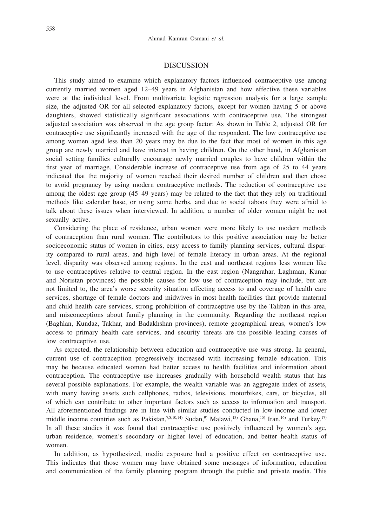## DISCUSSION

This study aimed to examine which explanatory factors influenced contraceptive use among currently married women aged 12–49 years in Afghanistan and how effective these variables were at the individual level. From multivariate logistic regression analysis for a large sample size, the adjusted OR for all selected explanatory factors, except for women having 5 or above daughters, showed statistically significant associations with contraceptive use. The strongest adjusted association was observed in the age group factor. As shown in Table 2, adjusted OR for contraceptive use significantly increased with the age of the respondent. The low contraceptive use among women aged less than 20 years may be due to the fact that most of women in this age group are newly married and have interest in having children. On the other hand, in Afghanistan social setting families culturally encourage newly married couples to have children within the first year of marriage. Considerable increase of contraceptive use from age of 25 to 44 years indicated that the majority of women reached their desired number of children and then chose to avoid pregnancy by using modern contraceptive methods. The reduction of contraceptive use among the oldest age group (45–49 years) may be related to the fact that they rely on traditional methods like calendar base, or using some herbs, and due to social taboos they were afraid to talk about these issues when interviewed. In addition, a number of older women might be not sexually active.

Considering the place of residence, urban women were more likely to use modern methods of contraception than rural women. The contributors to this positive association may be better socioeconomic status of women in cities, easy access to family planning services, cultural disparity compared to rural areas, and high level of female literacy in urban areas. At the regional level, disparity was observed among regions. In the east and northeast regions less women like to use contraceptives relative to central region. In the east region (Nangrahar, Laghman, Kunar and Noristan provinces) the possible causes for low use of contraception may include, but are not limited to, the area's worse security situation affecting access to and coverage of health care services, shortage of female doctors and midwives in most health facilities that provide maternal and child health care services, strong prohibition of contraceptive use by the Taliban in this area, and misconceptions about family planning in the community. Regarding the northeast region (Baghlan, Kundaz, Takhar, and Badakhshan provinces), remote geographical areas, women's low access to primary health care services, and security threats are the possible leading causes of low contraceptive use.

As expected, the relationship between education and contraceptive use was strong. In general, current use of contraception progressively increased with increasing female education. This may be because educated women had better access to health facilities and information about contraception. The contraceptive use increases gradually with household wealth status that has several possible explanations. For example, the wealth variable was an aggregate index of assets, with many having assets such cellphones, radios, televisions, motorbikes, cars, or bicycles, all of which can contribute to other important factors such as access to information and transport. All aforementioned findings are in line with similar studies conducted in low-income and lower middle income countries such as Pakistan,<sup>7,8,10,14)</sup> Sudan,<sup>9)</sup> Malawi,<sup>13)</sup> Ghana,<sup>15)</sup> Iran,<sup>16)</sup> and Turkey.<sup>17)</sup> In all these studies it was found that contraceptive use positively influenced by women's age, urban residence, women's secondary or higher level of education, and better health status of women.

In addition, as hypothesized, media exposure had a positive effect on contraceptive use. This indicates that those women may have obtained some messages of information, education and communication of the family planning program through the public and private media. This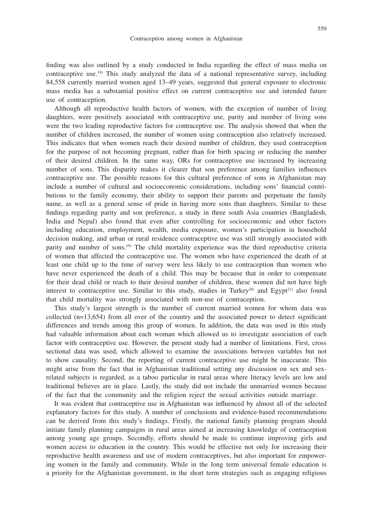finding was also outlined by a study conducted in India regarding the effect of mass media on contraceptive use.18) This study analyzed the data of a national representative survey, including 84,558 currently married women aged 13–49 years, suggested that general exposure to electronic mass media has a substantial positive effect on current contraceptive use and intended future use of contraception.

Although all reproductive health factors of women, with the exception of number of living daughters, were positively associated with contraceptive use, parity and number of living sons were the two leading reproductive factors for contraceptive use. The analysis showed that when the number of children increased, the number of women using contraception also relatively increased. This indicates that when women reach their desired number of children, they used contraception for the purpose of not becoming pregnant, rather than for birth spacing or reducing the number of their desired children. In the same way, ORs for contraceptive use increased by increasing number of sons. This disparity makes it clearer that son preference among families influences contraceptive use. The possible reasons for this cultural preference of sons in Afghanistan may include a number of cultural and socioeconomic considerations, including sons' financial contributions to the family economy, their ability to support their parents and perpetuate the family name, as well as a general sense of pride in having more sons than daughters. Similar to these findings regarding parity and son preference, a study in three south Asia countries (Bangladesh, India and Nepal) also found that even after controlling for socioeconomic and other factors including education, employment, wealth, media exposure, women's participation in household decision making, and urban or rural residence contraceptive use was still strongly associated with parity and number of sons.<sup>19)</sup> The child mortality experience was the third reproductive criteria of women that affected the contraceptive use. The women who have experienced the death of at least one child up to the time of survey were less likely to use contraception than women who have never experienced the death of a child. This may be because that in order to compensate for their dead child or reach to their desired number of children, these women did not have high interest to contraceptive use. Similar to this study, studies in Turkey<sup>20)</sup> and Egypt<sup>21)</sup> also found that child mortality was strongly associated with non-use of contraception.

This study's largest strength is the number of current married women for whom data was collected  $(n=13,654)$  from all over of the country and the associated power to detect significant differences and trends among this group of women. In addition, the data was used in this study had valuable information about each woman which allowed us to investigate association of each factor with contraceptive use. However, the present study had a number of limitations. First, cross sectional data was used, which allowed to examine the associations between variables but not to show causality. Second, the reporting of current contraceptive use might be inaccurate. This might arise from the fact that in Afghanistan traditional setting any discussion on sex and sexrelated subjects is regarded, as a taboo particular in rural areas where literacy levels are low and traditional believes are in place. Lastly, the study did not include the unmarried women because of the fact that the community and the religion reject the sexual activities outside marriage.

It was evident that contraceptive use in Afghanistan was influenced by almost all of the selected explanatory factors for this study. A number of conclusions and evidence-based recommendations can be derived from this study's findings. Firstly, the national family planning program should initiate family planning campaigns in rural areas aimed at increasing knowledge of contraception among young age groups. Secondly, efforts should be made to continue improving girls and women access to education in the country. This would be effective not only for increasing their reproductive health awareness and use of modern contraceptives, but also important for empowering women in the family and community. While in the long term universal female education is a priority for the Afghanistan government, in the short term strategies such as engaging religious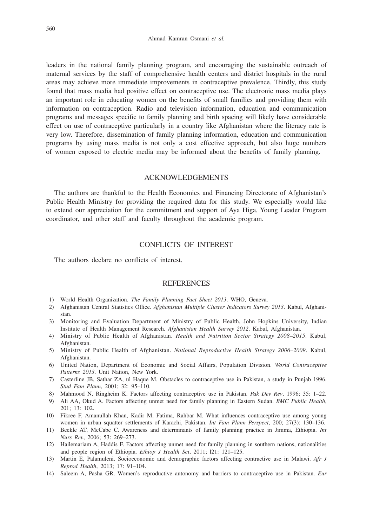leaders in the national family planning program, and encouraging the sustainable outreach of maternal services by the staff of comprehensive health centers and district hospitals in the rural areas may achieve more immediate improvements in contraceptive prevalence. Thirdly, this study found that mass media had positive effect on contraceptive use. The electronic mass media plays an important role in educating women on the benefits of small families and providing them with information on contraception. Radio and television information, education and communication programs and messages specific to family planning and birth spacing will likely have considerable effect on use of contraceptive particularly in a country like Afghanistan where the literacy rate is very low. Therefore, dissemination of family planning information, education and communication programs by using mass media is not only a cost effective approach, but also huge numbers of women exposed to electric media may be informed about the benefits of family planning.

## ACKNOWLEDGEMENTS

The authors are thankful to the Health Economics and Financing Directorate of Afghanistan's Public Health Ministry for providing the required data for this study. We especially would like to extend our appreciation for the commitment and support of Aya Higa, Young Leader Program coordinator, and other staff and faculty throughout the academic program.

# CONFLICTS OF INTEREST

The authors declare no conflicts of interest.

# **REFERENCES**

- 1) World Health Organization. *The Family Planning Fact Sheet 2013*. WHO, Geneva.
- 2) Afghanistan Central Statistics Office. *Afghanistan Multiple Cluster Indicators Survey 2013*. Kabul, Afghanistan.
- 3) Monitoring and Evaluation Department of Ministry of Public Health, John Hopkins University, Indian Institute of Health Management Research. *Afghanistan Health Survey 2012*. Kabul, Afghanistan.
- 4) Ministry of Public Health of Afghanistan. *Health and Nutrition Sector Strategy 2008–2015*. Kabul, Afghanistan.
- 5) Ministry of Public Health of Afghanistan. *National Reproductive Health Strategy 2006–2009*. Kabul, Afghanistan.
- 6) United Nation, Department of Economic and Social Affairs, Population Division. *World Contraceptive Patterns 2013*. Unit Nation, New York.
- 7) Casterline JB, Sathar ZA, ul Haque M. Obstacles to contraceptive use in Pakistan, a study in Punjab 1996. *Stud Fam Plann*, 2001; 32: 95–110.
- 8) Mahmood N, Ringheim K. Factors affecting contraceptive use in Pakistan. *Pak Dev Rev*, 1996; 35: 1–22.
- 9) Ali AA, Okud A. Factors affecting unmet need for family planning in Eastern Sudan. *BMC Public Health*, 201; 13: 102.
- 10) Fikree F, Amanullah Khan, Kadir M, Fatima, Rahbar M. What influences contraceptive use among young women in urban squatter settlements of Karachi, Pakistan. *Int Fam Plann Perspect*, 200; 27(3): 130–136.
- 11) Beekle AT, McCabe C. Awareness and determinants of family planning practice in Jimma, Ethiopia. *Int Nurs Rev*, 2006; 53: 269–273.
- 12) Hailemariam A, Haddis F. Factors affecting unmet need for family planning in southern nations, nationalities and people region of Ethiopia. *Ethiop J Health Sci*, 2011; l21: 121–125.
- 13) Martin E, Palamuleni. Socioeconomic and demographic factors affecting contractive use in Malawi. *Afr J Reprod Health*, 2013; 17: 91–104.
- 14) Saleem A, Pasha GR. Women's reproductive autonomy and barriers to contraceptive use in Pakistan. *Eur*